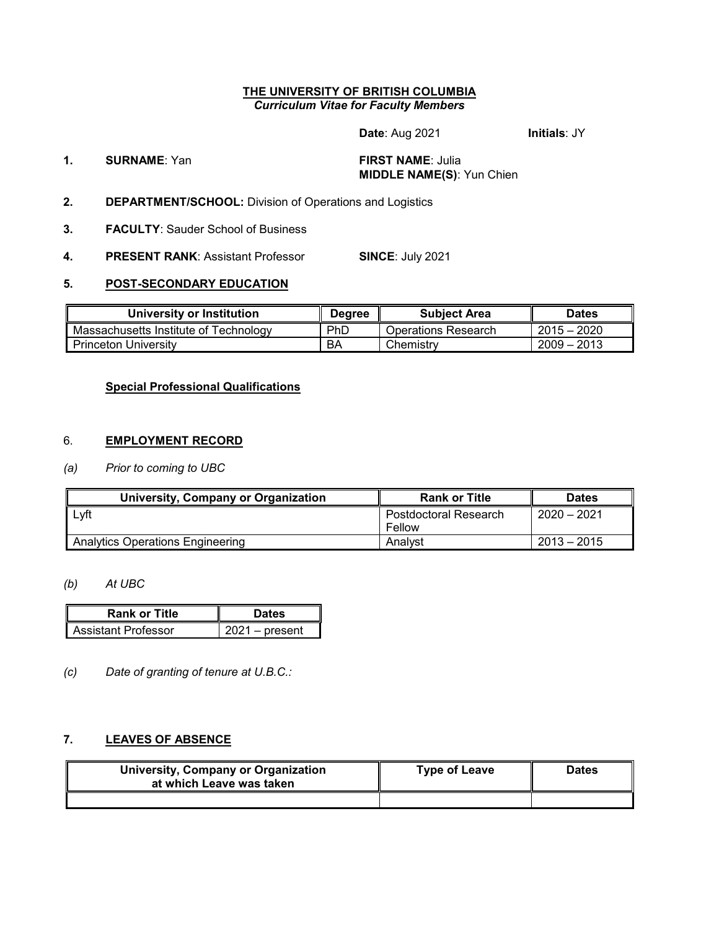#### **THE UNIVERSITY OF BRITISH COLUMBIA** *Curriculum Vitae for Faculty Members*

**Date**: Aug 2021 **Initials**: JY

### **1. SURNAME**: Yan **FIRST NAME**: Julia **MIDDLE NAME(S)**: Yun Chien

- **2. DEPARTMENT/SCHOOL:** Division of Operations and Logistics
- **3. FACULTY**: Sauder School of Business
- **4. PRESENT RANK**: Assistant Professor **SINCE**: July 2021

#### **5. POST-SECONDARY EDUCATION**

| University or Institution             | <b>Degree</b> | <b>Subject Area</b> | Dates         |
|---------------------------------------|---------------|---------------------|---------------|
| Massachusetts Institute of Technology | PhD           | Operations Research | $2015 - 2020$ |
| <b>Princeton University</b>           | ΒA            | Chemistry           | $2009 - 2013$ |

## **Special Professional Qualifications**

#### 6. **EMPLOYMENT RECORD**

#### *(a) Prior to coming to UBC*

| University, Company or Organization     | <b>Rank or Title</b>         | <b>Dates</b>  |  |
|-----------------------------------------|------------------------------|---------------|--|
| Lyft                                    | <b>Postdoctoral Research</b> | $2020 - 2021$ |  |
|                                         | Fellow                       |               |  |
| <b>Analytics Operations Engineering</b> | Analyst                      | $2013 - 2015$ |  |

#### *(b) At UBC*

| <b>Rank or Title</b> | <b>Dates</b>     |
|----------------------|------------------|
| Assistant Professor  | $2021 -$ present |

*(c) Date of granting of tenure at U.B.C.:*

## **7. LEAVES OF ABSENCE**

| University, Company or Organization<br>at which Leave was taken | <b>Type of Leave</b> | <b>Dates</b> |  |
|-----------------------------------------------------------------|----------------------|--------------|--|
|                                                                 |                      |              |  |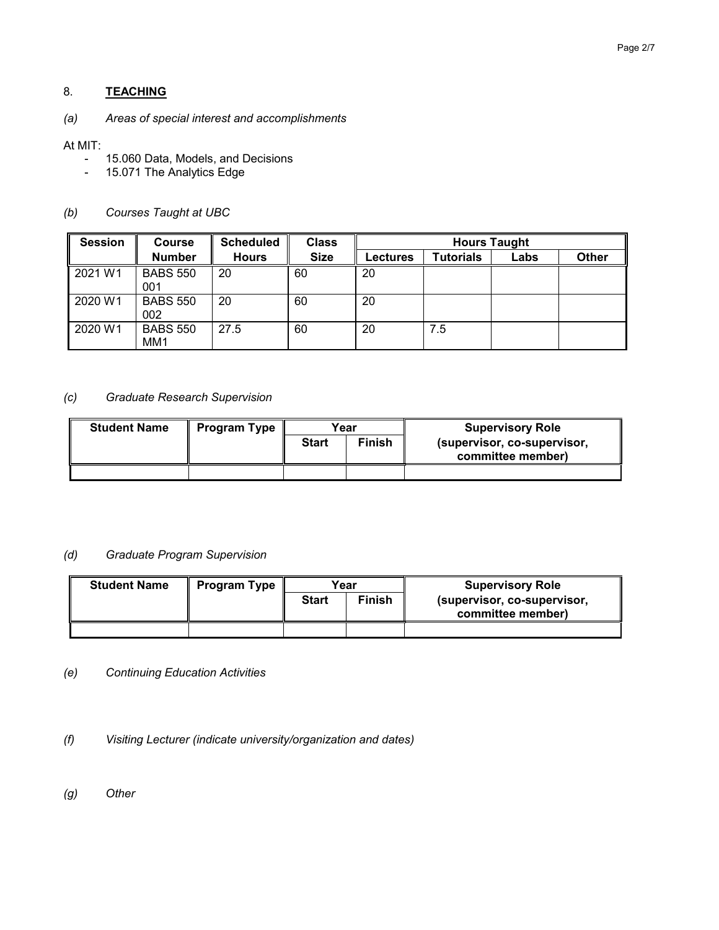# 8. **TEACHING**

## *(a) Areas of special interest and accomplishments*

#### At MIT:

- 15.060 Data, Models, and Decisions<br>- 15.071 The Analytics Edge
- 15.071 The Analytics Edge

#### *(b) Courses Taught at UBC*

| <b>Session</b> | <b>Course</b>                      | <b>Scheduled</b> | <b>Class</b> | <b>Hours Taught</b> |                  |      |              |
|----------------|------------------------------------|------------------|--------------|---------------------|------------------|------|--------------|
|                | <b>Number</b>                      | <b>Hours</b>     | <b>Size</b>  | Lectures            | <b>Tutorials</b> | Labs | <b>Other</b> |
| 2021 W1        | <b>BABS 550</b><br>001             | 20               | 60           | 20                  |                  |      |              |
| 2020 W1        | <b>BABS 550</b><br>002             | 20               | 60           | 20                  |                  |      |              |
| 2020 W1        | <b>BABS 550</b><br>MM <sub>1</sub> | 27.5             | 60           | 20                  | 7.5              |      |              |

#### *(c) Graduate Research Supervision*

| <b>Student Name</b> | <b>Program Type</b> | Year                          |  | <b>Supervisory Role</b>                          |
|---------------------|---------------------|-------------------------------|--|--------------------------------------------------|
|                     |                     | <b>Finish</b><br><b>Start</b> |  | (supervisor, co-supervisor,<br>committee member) |
|                     |                     |                               |  |                                                  |

#### *(d) Graduate Program Supervision*

| <b>Student Name</b> | <b>Program Type</b> | Year         |               | <b>Supervisory Role</b>                          |
|---------------------|---------------------|--------------|---------------|--------------------------------------------------|
|                     |                     | <b>Start</b> | <b>Finish</b> | (supervisor, co-supervisor,<br>committee member) |
|                     |                     |              |               |                                                  |

- *(e) Continuing Education Activities*
- *(f) Visiting Lecturer (indicate university/organization and dates)*
- *(g) Other*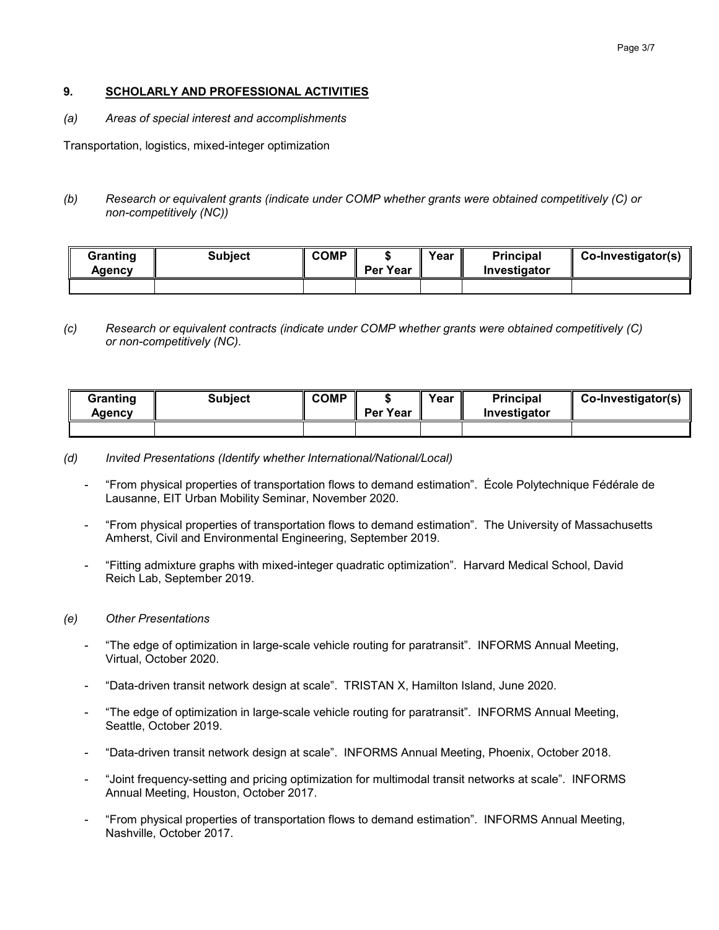#### Page 3/7

#### **9. SCHOLARLY AND PROFESSIONAL ACTIVITIES**

*(a) Areas of special interest and accomplishments*

Transportation, logistics, mixed-integer optimization

*(b) Research or equivalent grants (indicate under COMP whether grants were obtained competitively (C) or non-competitively (NC))*

| Granting<br>Aaencv | <b>Subject</b> | <b>COMP</b> | Per Year | Year | <b>Principal</b><br>Investigator | $\parallel$ Co-Investigator(s) |
|--------------------|----------------|-------------|----------|------|----------------------------------|--------------------------------|
|                    |                |             |          |      |                                  |                                |

#### *(c) Research or equivalent contracts (indicate under COMP whether grants were obtained competitively (C) or non-competitively (NC).*

| Granting<br>Agency | <b>Subject</b> | <b>COMP</b> | Per Year | Year | <b>Principal</b><br>Investigator | $\parallel$ Co-Investigator(s) |
|--------------------|----------------|-------------|----------|------|----------------------------------|--------------------------------|
|                    |                |             |          |      |                                  |                                |

- *(d) Invited Presentations (Identify whether International/National/Local)*
	- "From physical properties of transportation flows to demand estimation". École Polytechnique Fédérale de Lausanne, EIT Urban Mobility Seminar, November 2020.
	- "From physical properties of transportation flows to demand estimation". The University of Massachusetts Amherst, Civil and Environmental Engineering, September 2019.
	- "Fitting admixture graphs with mixed-integer quadratic optimization". Harvard Medical School, David Reich Lab, September 2019.

#### *(e) Other Presentations*

- "The edge of optimization in large-scale vehicle routing for paratransit". INFORMS Annual Meeting, Virtual, October 2020.
- "Data-driven transit network design at scale". TRISTAN X, Hamilton Island, June 2020.
- "The edge of optimization in large-scale vehicle routing for paratransit". INFORMS Annual Meeting, Seattle, October 2019.
- "Data-driven transit network design at scale". INFORMS Annual Meeting, Phoenix, October 2018.
- "Joint frequency-setting and pricing optimization for multimodal transit networks at scale". INFORMS Annual Meeting, Houston, October 2017.
- "From physical properties of transportation flows to demand estimation". INFORMS Annual Meeting, Nashville, October 2017.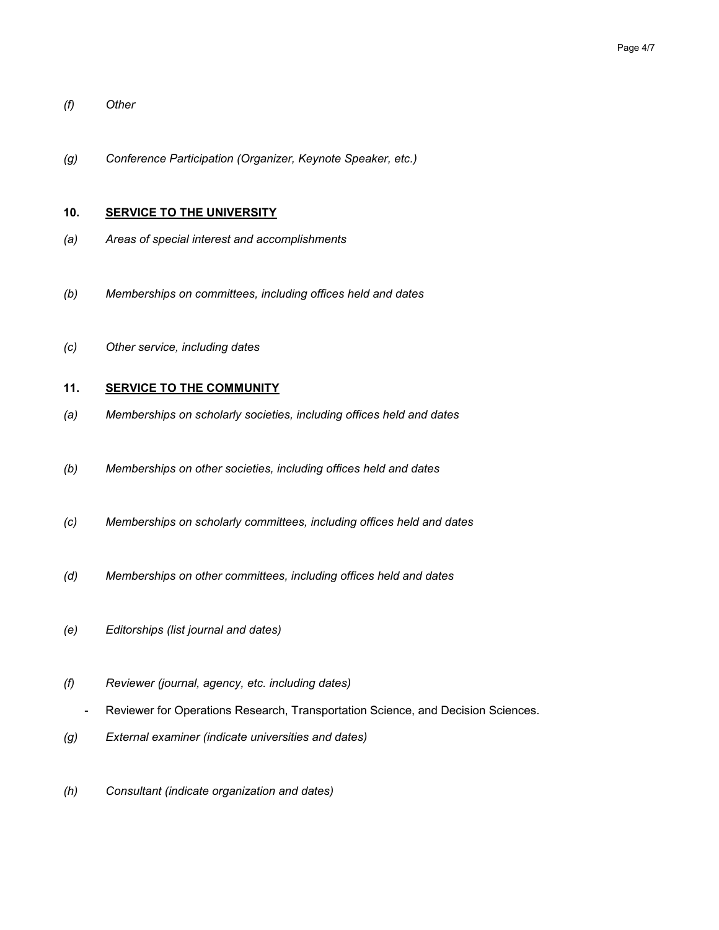- *(f) Other*
- *(g) Conference Participation (Organizer, Keynote Speaker, etc.)*

#### **10. SERVICE TO THE UNIVERSITY**

- *(a) Areas of special interest and accomplishments*
- *(b) Memberships on committees, including offices held and dates*
- *(c) Other service, including dates*

## **11. SERVICE TO THE COMMUNITY**

- *(a) Memberships on scholarly societies, including offices held and dates*
- *(b) Memberships on other societies, including offices held and dates*
- *(c) Memberships on scholarly committees, including offices held and dates*
- *(d) Memberships on other committees, including offices held and dates*
- *(e) Editorships (list journal and dates)*
- *(f) Reviewer (journal, agency, etc. including dates)*
	- Reviewer for Operations Research, Transportation Science, and Decision Sciences.
- *(g) External examiner (indicate universities and dates)*
- *(h) Consultant (indicate organization and dates)*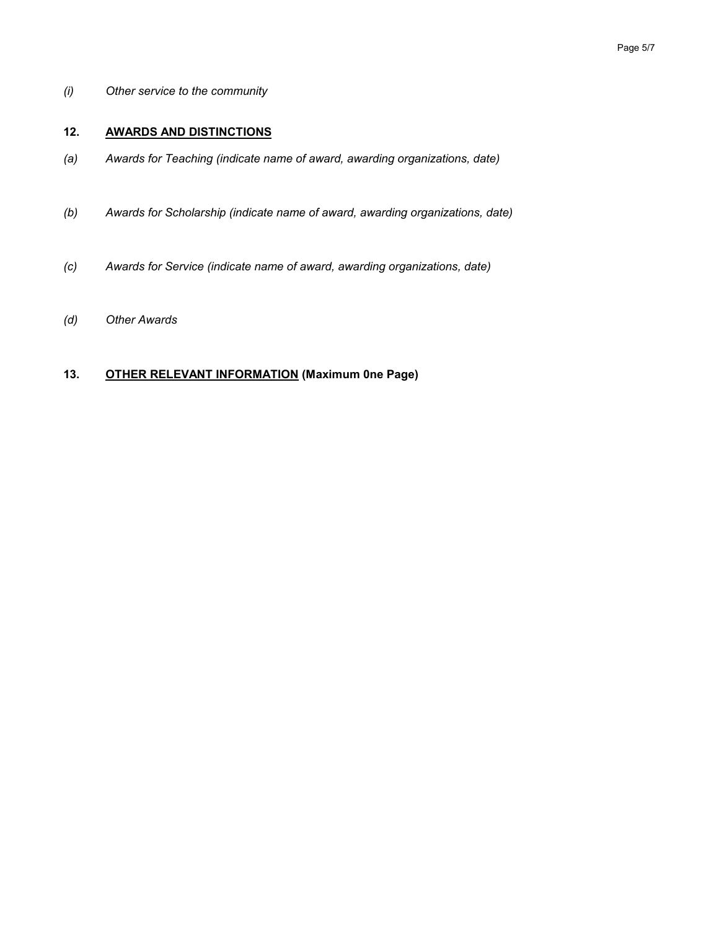*(i) Other service to the community*

## **12. AWARDS AND DISTINCTIONS**

- *(a) Awards for Teaching (indicate name of award, awarding organizations, date)*
- *(b) Awards for Scholarship (indicate name of award, awarding organizations, date)*
- *(c) Awards for Service (indicate name of award, awarding organizations, date)*
- *(d) Other Awards*

## **13. OTHER RELEVANT INFORMATION (Maximum 0ne Page)**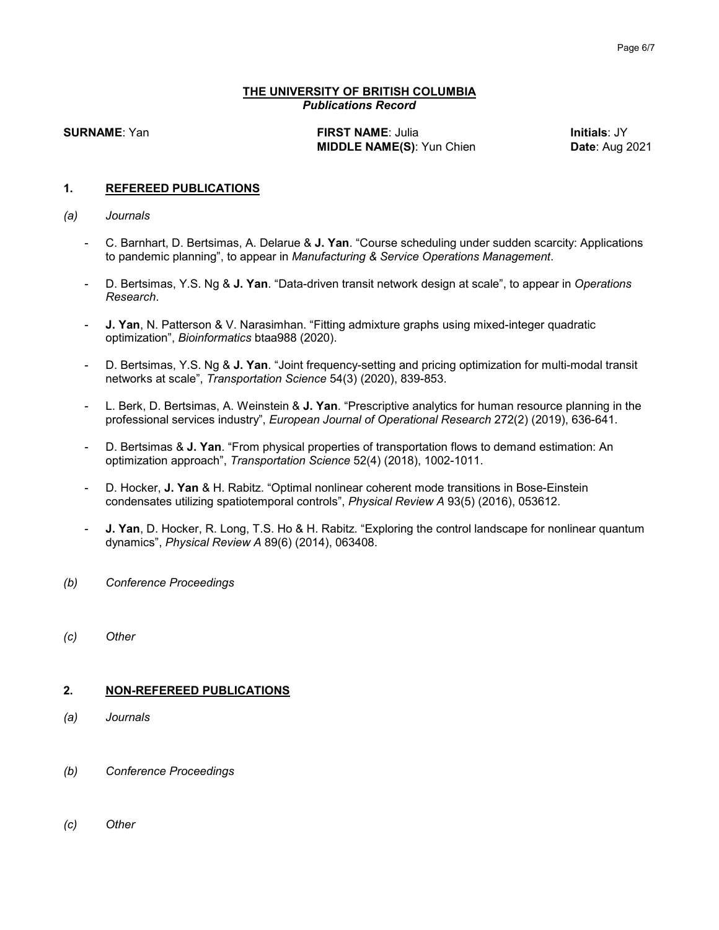#### **THE UNIVERSITY OF BRITISH COLUMBIA** *Publications Record*

**SURNAME**: Yan **FIRST NAME**: Julia **Initials**: JY **MIDDLE NAME(S):** Yun Chien **Date:** Aug 2021

#### **1. REFEREED PUBLICATIONS**

#### *(a) Journals*

- C. Barnhart, D. Bertsimas, A. Delarue & **J. Yan**. "Course scheduling under sudden scarcity: Applications to pandemic planning", to appear in *Manufacturing & Service Operations Management*.
- D. Bertsimas, Y.S. Ng & **J. Yan**. "Data-driven transit network design at scale", to appear in *Operations Research*.
- **J. Yan**, N. Patterson & V. Narasimhan. "Fitting admixture graphs using mixed-integer quadratic optimization", *Bioinformatics* btaa988 (2020).
- D. Bertsimas, Y.S. Ng & **J. Yan**. "Joint frequency-setting and pricing optimization for multi-modal transit networks at scale", *Transportation Science* 54(3) (2020), 839-853.
- L. Berk, D. Bertsimas, A. Weinstein & **J. Yan**. "Prescriptive analytics for human resource planning in the professional services industry", *European Journal of Operational Research* 272(2) (2019), 636-641.
- D. Bertsimas & **J. Yan**. "From physical properties of transportation flows to demand estimation: An optimization approach", *Transportation Science* 52(4) (2018), 1002-1011.
- D. Hocker, **J. Yan** & H. Rabitz. "Optimal nonlinear coherent mode transitions in Bose-Einstein condensates utilizing spatiotemporal controls", *Physical Review A* 93(5) (2016), 053612.
- **J. Yan**, D. Hocker, R. Long, T.S. Ho & H. Rabitz. "Exploring the control landscape for nonlinear quantum dynamics", *Physical Review A* 89(6) (2014), 063408.
- *(b) Conference Proceedings*
- *(c) Other*

#### **2. NON-REFEREED PUBLICATIONS**

- *(a) Journals*
- *(b) Conference Proceedings*
- *(c) Other*